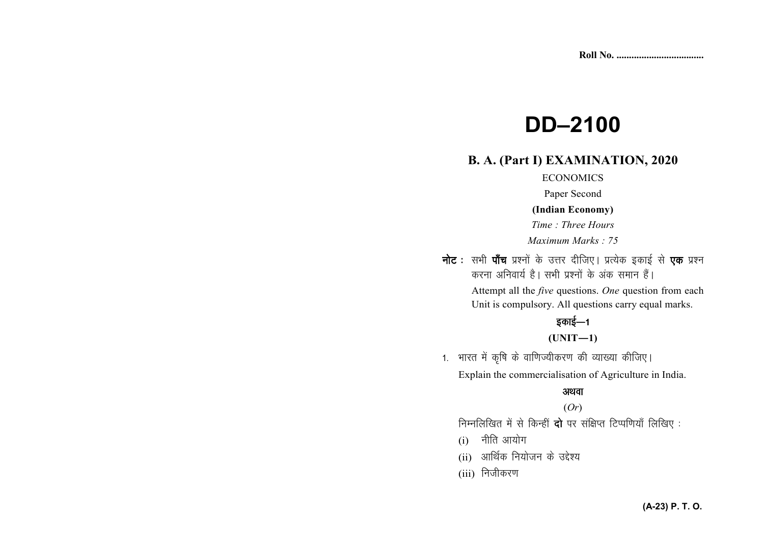# **DD-2100**

# **B. A. (Part I) EXAMINATION, 2020**

### **ECONOMICS**

Paper Second

#### (Indian Economy)

Time: Three Hours

Maximum Marks: 75

नोट : सभी पाँच प्रश्नों के उत्तर दीजिए। प्रत्येक इकाई से एक प्रश्न करना अनिवार्य है। सभी प्रश्नों के अंक समान हैं।

> Attempt all the *five* questions. One question from each Unit is compulsory. All questions carry equal marks.

# इकाई—1

## $(UNIT-1)$

1. भारत में कृषि के वाणिज्यीकरण की व्याख्या कीजिए। Explain the commercialisation of Agriculture in India.

#### अथवा

### $(Or)$

निम्नलिखित में से किन्हीं दो पर संक्षिप्त टिप्पणियाँ लिखिए:

- $(i)$  नीति आयोग
- (ii) आर्थिक नियोजन के उद्देश्य
- (iii) निजीकरण